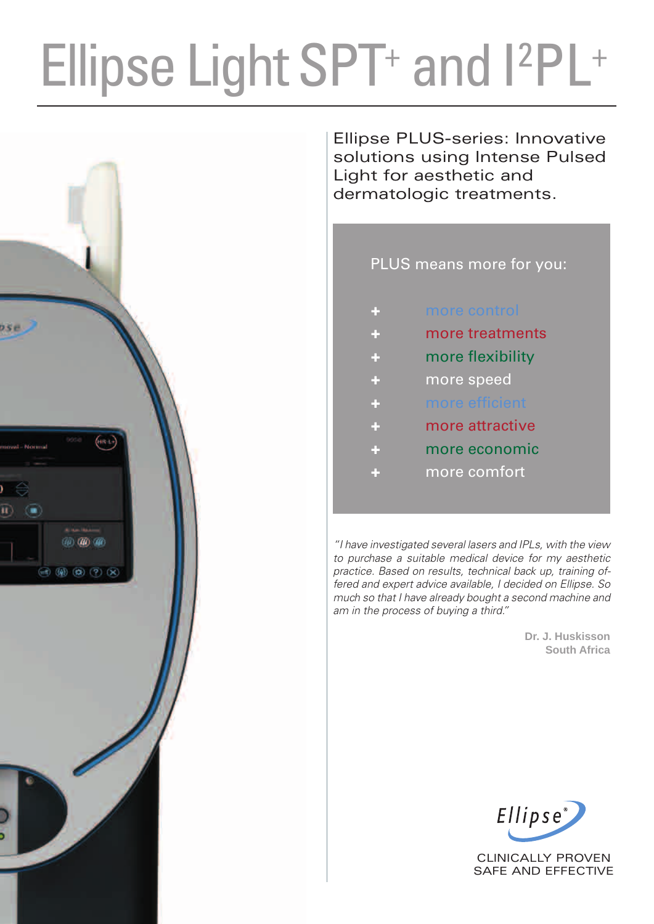# Ellipse Light SPT<sup>+</sup> and I<sup>2</sup>PL<sup>+</sup>



Ellipse PLUS-series: Innovative solutions using Intense Pulsed Light for aesthetic and dermatologic treatments.

### PLUS means more for you:

|  |  |  | more control |
|--|--|--|--------------|
|  |  |  |              |
|  |  |  |              |

- more treatments
- more flexibility
- more speed
- more efficient
- more attractive
- more economic
- more comfort

*"I have investigated several lasers and IPLs, with the view to purchase a suitable medical device for my aesthetic practice. Based on results, technical back up, training offered and expert advice available, I decided on Ellipse. So much so that I have already bought a second machine and am in the process of buying a third."*

> **Dr. J. Huskisson South Africa**



CLINICALLY PROVEN SAFE AND EFFECTIVE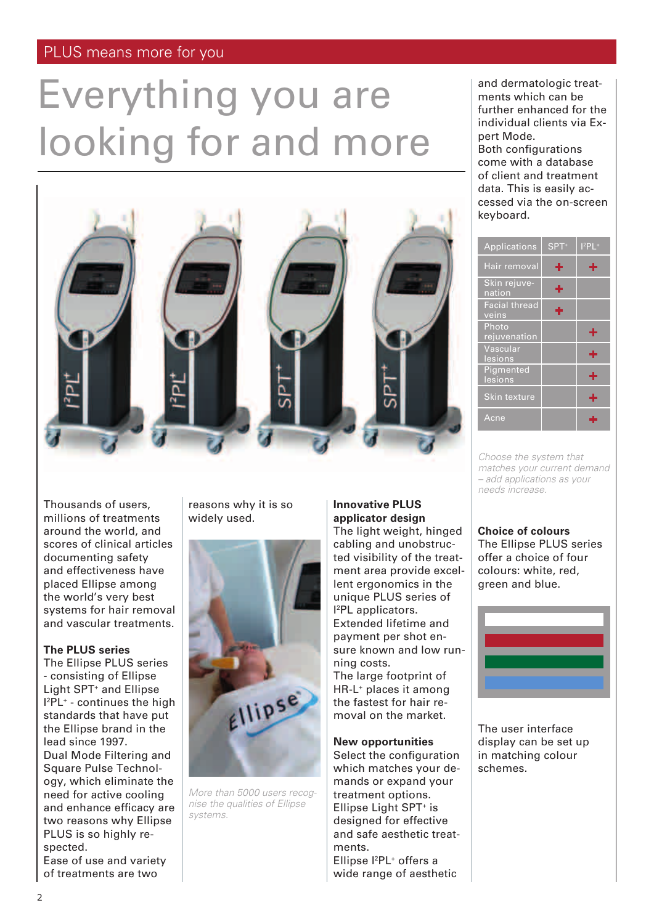# Everything you are looking for and more



Thousands of users, millions of treatments around the world, and scores of clinical articles documenting safety and effectiveness have placed Ellipse among the world's very best systems for hair removal and vascular treatments.

#### **The PLUS series**

The Ellipse PLUS series - consisting of Ellipse Light SPT<sup>+</sup> and Ellipse  $I^2PL^+$  - continues the high standards that have put the Ellipse brand in the lead since 1997. Dual Mode Filtering and Square Pulse Technology, which eliminate the need for active cooling and enhance efficacy are two reasons why Ellipse PLUS is so highly respected.

Ease of use and variety of treatments are two

reasons why it is so widely used.



*More than 5000 users recognise the qualities of Ellipse systems.*

#### **Innovative PLUS applicator design**

The light weight, hinged cabling and unobstructed visibility of the treatment area provide excellent ergonomics in the unique PLUS series of I 2 PL applicators. Extended lifetime and payment per shot en-

sure known and low running costs. The large footprint of

HR-L+ places it among the fastest for hair removal on the market.

#### **New opportunities**

Select the configuration which matches your demands or expand your treatment options. Ellipse Light SPT+ is designed for effective and safe aesthetic treatments. Ellipse l<sup>2</sup>PL<sup>+</sup> offers a wide range of aesthetic

and dermatologic treatments which can be further enhanced for the individual clients via Expert Mode. Both configurations

come with a database of client and treatment data. This is easily accessed via the on-screen keyboard.

| <b>Applications</b>           | SPT <sup>+</sup> | $12$ PL+ |
|-------------------------------|------------------|----------|
| Hair removal                  | ÷                | ÷        |
| Skin rejuve-<br>nation        | ÷                |          |
| <b>Facial thread</b><br>veins | ÷                |          |
| Photo<br>rejuvenation         |                  | ÷        |
| Vascular<br>lesions           |                  | ÷        |
| Pigmented<br>lesions          |                  | ÷        |
| Skin texture                  |                  | ÷        |
| Acne                          |                  |          |

*Choose the system that matches your current demand – add applications as your needs increase.*

#### **Choice of colours**

The Ellipse PLUS series offer a choice of four colours: white, red, green and blue.



The user interface display can be set up in matching colour schemes.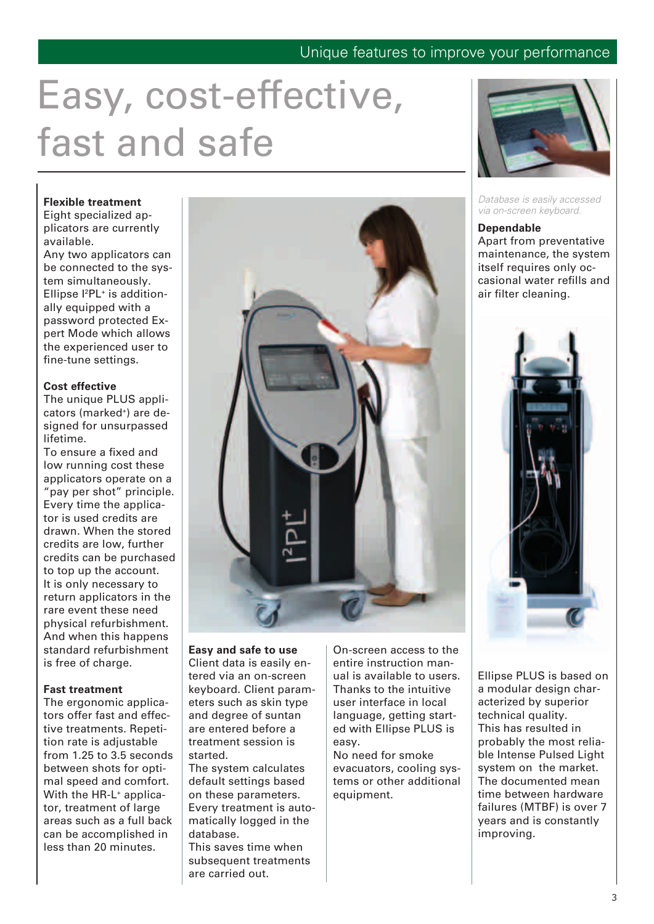### Unique features to improve your performance

# Easy, cost-effective, fast and safe

#### **Flexible treatment**

Eight specialized applicators are currently available.

Any two applicators can be connected to the system simultaneously. Ellipse l<sup>2</sup>PL<sup>+</sup> is additionally equipped with a password protected Expert Mode which allows the experienced user to fine-tune settings.

#### **Cost effective**

The unique PLUS applicators (marked+) are designed for unsurpassed lifetime.

To ensure a fixed and low running cost these applicators operate on a "pay per shot" principle. Every time the applicator is used credits are drawn. When the stored credits are low, further credits can be purchased to top up the account. It is only necessary to return applicators in the rare event these need physical refurbishment. And when this happens standard refurbishment is free of charge.

#### **Fast treatment**

The ergonomic applicators offer fast and effective treatments. Repetition rate is adjustable from 1.25 to 3.5 seconds between shots for optimal speed and comfort. With the HR-L<sup>+</sup> applicator, treatment of large areas such as a full back can be accomplished in less than 20 minutes.



#### **Easy and safe to use** Client data is easily en-

tered via an on-screen keyboard. Client parameters such as skin type and degree of suntan are entered before a treatment session is started.

The system calculates default settings based on these parameters. Every treatment is automatically logged in the database.

This saves time when subsequent treatments are carried out.

On-screen access to the entire instruction manual is available to users. Thanks to the intuitive user interface in local language, getting started with Ellipse PLUS is easy.

No need for smoke evacuators, cooling systems or other additional equipment.



*Database is easily accessed via on-screen keyboard.*

#### **Dependable**

Apart from preventative maintenance, the system itself requires only occasional water refills and air filter cleaning.



Ellipse PLUS is based on a modular design characterized by superior technical quality. This has resulted in probably the most reliable Intense Pulsed Light system on the market. The documented mean time between hardware failures (MTBF) is over 7 years and is constantly improving.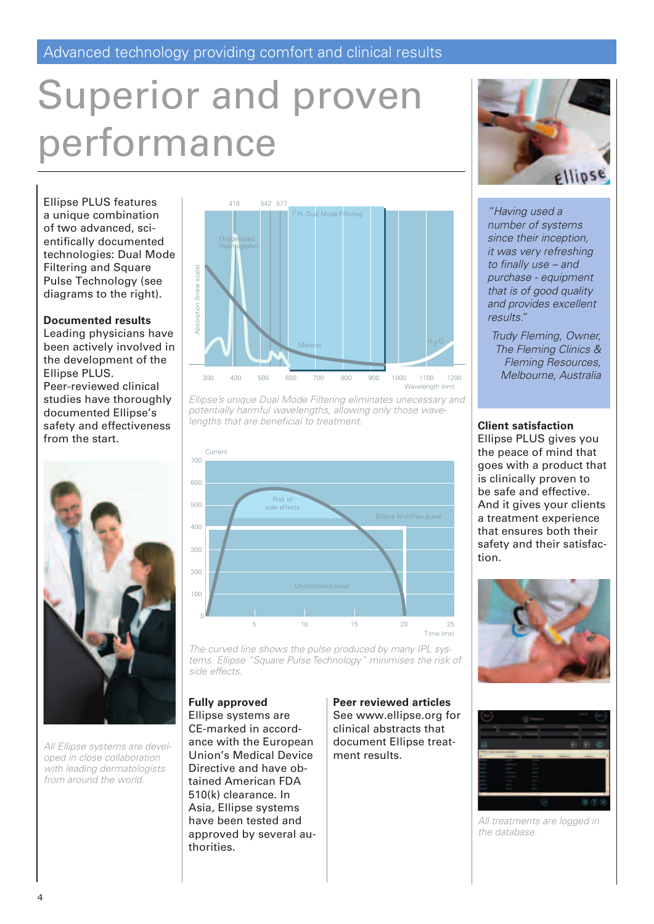# Superior and proven performance

Ellipse PLUS features a unique combination of two advanced, scientifically documented technologies: Dual Mode Filtering and Square Pulse Technology (see diagrams to the right).

#### **Documented results**

Leading physicians have been actively involved in the development of the Ellipse PLUS. Peer-reviewed clinical studies have thoroughly documented Ellipse's safety and effectiveness from the start.



*All Ellipse systems are developed in close collaboration with leading dermatologists from around the world.*



Ellipse's unique Dual Mode Filtering eliminates unecessary and **potentially harmful wavelengths, allowing only those wave***lengths that are beneficial to treatment.*





*"Having used a number of systems since their inception, it was very refreshing to finally use – and purchase - equipment that is of good quality and provides excellent results."*

*Trudy Fleming, Owner, The Fleming Clinics & Fleming Resources, Melbourne, Australia*

#### **Client satisfaction**

Ellipse PLUS gives you the peace of mind that goes with a product that is clinically proven to be safe and effective. And it gives your clients a treatment experience that ensures both their safety and their satisfaction.



*All treatments are logged in the database.*

*The curved line shows the pulse produced by many IPL systems. Ellipse "Square Pulse Technology" minimises the risk of side effects.*

#### **Fully approved**

Ellipse systems are CE-marked in accordance with the European Union's Medical Device Directive and have obtained American FDA 510(k) clearance. In Asia, Ellipse systems have been tested and approved by several authorities.

**Peer reviewed articles** See www.ellipse.org for clinical abstracts that document Ellipse treatment results.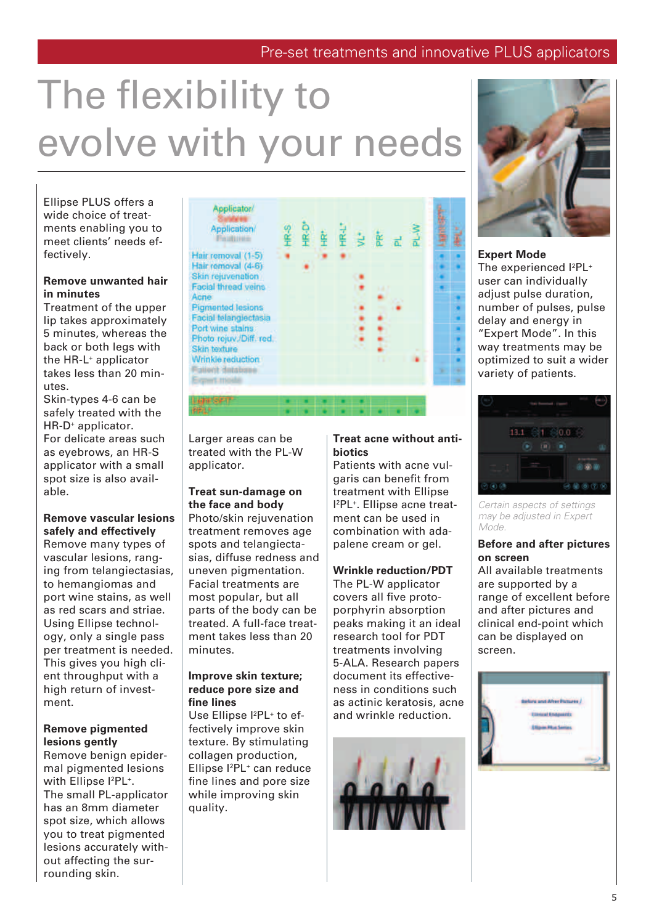### Pre-set treatments and innovative PLUS applicators

# The flexibility to evolve with your needs

Ellipse PLUS offers a wide choice of treatments enabling you to meet clients' needs effectively.

#### **Remove unwanted hair in minutes**

Treatment of the upper lip takes approximately 5 minutes, whereas the back or both legs with the HR-L+ applicator takes less than 20 minutes.

Skin-types 4-6 can be safely treated with the HR-D+ applicator. For delicate areas such as eyebrows, an HR-S applicator with a small spot size is also available.

#### **Remove vascular lesions safely and effectively**

Remove many types of vascular lesions, ranging from telangiectasias, to hemangiomas and port wine stains, as well as red scars and striae. Using Ellipse technology, only a single pass per treatment is needed. This gives you high client throughput with a high return of investment.

#### **Remove pigmented lesions gently**

Remove benign epidermal pigmented lesions with Ellipse l<sup>2</sup>PL<sup>+</sup>. The small PL-applicator has an 8mm diameter spot size, which allows you to treat pigmented lesions accurately without affecting the surrounding skin.

Applicator/ **Application Finalteria** Hair removal (1-5) Hair removal (4-6) Skin rejuvenation **Facial thread veins** Acne **Pigmented lesions** Facial telangiectasia Port wine stains Photo rejuv./Diff. red. Skin texture Wrinkle reduction **Gillerit dotabine** resort minidal #SPT

Larger areas can be treated with the PL-W applicator.

#### **Treat sun-damage on the face and body**

Photo/skin rejuvenation treatment removes age spots and telangiectasias, diffuse redness and uneven pigmentation. Facial treatments are most popular, but all parts of the body can be treated. A full-face treatment takes less than 20 minutes.

#### **Improve skin texture; reduce pore size and fine lines**

Use Ellipse l<sup>2</sup>PL<sup>+</sup> to effectively improve skin texture. By stimulating collagen production, Ellipse l<sup>2</sup>PL<sup>+</sup> can reduce fine lines and pore size while improving skin quality.

#### **Treat acne without antibiotics**

Patients with acne vulgaris can benefit from treatment with Ellipse I 2 PL+. Ellipse acne treatment can be used in combination with adapalene cream or gel.

#### **Wrinkle reduction/PDT**

The PL-W applicator covers all five protoporphyrin absorption peaks making it an ideal research tool for PDT treatments involving 5-ALA. Research papers document its effectiveness in conditions such as actinic keratosis, acne and wrinkle reduction.





#### **Expert Mode**

The experienced l<sup>2</sup>PL<sup>+</sup> user can individually adjust pulse duration, number of pulses, pulse delay and energy in "Expert Mode". In this way treatments may be optimized to suit a wider variety of patients.



*Certain aspects of settings may be adjusted in Expert Mode.*

#### **Before and after pictures on screen**

All available treatments are supported by a range of excellent before and after pictures and clinical end-point which can be displayed on screen.

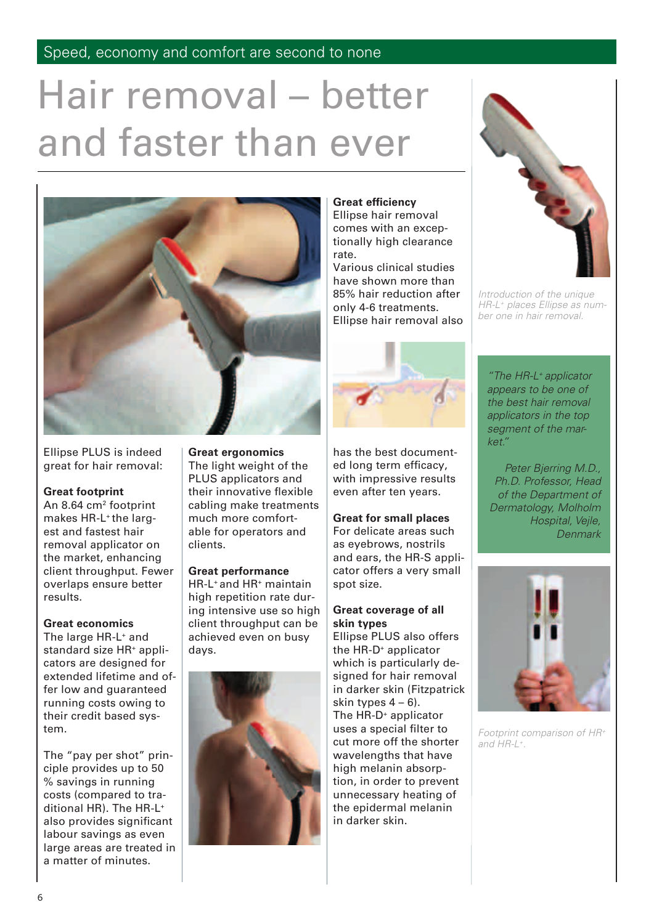# Hair removal – better and faster than ever



Ellipse PLUS is indeed great for hair removal:

#### **Great footprint**

An 8.64 cm<sup>2</sup> footprint makes HR-L<sup>+</sup> the largest and fastest hair removal applicator on the market, enhancing client throughput. Fewer overlaps ensure better results.

#### **Great economics**

The large HR-L+ and standard size HR+ applicators are designed for extended lifetime and offer low and guaranteed running costs owing to their credit based system.

The "pay per shot" principle provides up to 50 % savings in running costs (compared to traditional HR). The HR-L+ also provides significant labour savings as even large areas are treated in a matter of minutes.

### **Great ergonomics**

The light weight of the PLUS applicators and their innovative flexible cabling make treatments much more comfortable for operators and clients.

#### **Great performance**

HR-L+ and HR+ maintain high repetition rate during intensive use so high client throughput can be achieved even on busy days.



#### **Great efficiency**

Ellipse hair removal comes with an exceptionally high clearance rate.

Various clinical studies have shown more than 85% hair reduction after only 4-6 treatments. Ellipse hair removal also



has the best documented long term efficacy, with impressive results even after ten years.

#### **Great for small places**

For delicate areas such as eyebrows, nostrils and ears, the HR-S applicator offers a very small spot size.

#### **Great coverage of all skin types**

Ellipse PLUS also offers the HR-D+ applicator which is particularly designed for hair removal in darker skin (Fitzpatrick skin types  $4 - 6$ ). The HR-D<sup>+</sup> applicator uses a special filter to cut more off the shorter wavelengths that have high melanin absorption, in order to prevent unnecessary heating of the epidermal melanin in darker skin.



*Introduction of the unique HR-L+ places Ellipse as number one in hair removal.*

*"The HR-L+ applicator appears to be one of the best hair removal applicators in the top segment of the market."*

*Peter Bjerring M.D., Ph.D. Professor, Head of the Department of Dermatology, Molholm Hospital, Vejle, Denmark*



*Footprint comparison of HR+ and HR-L+.*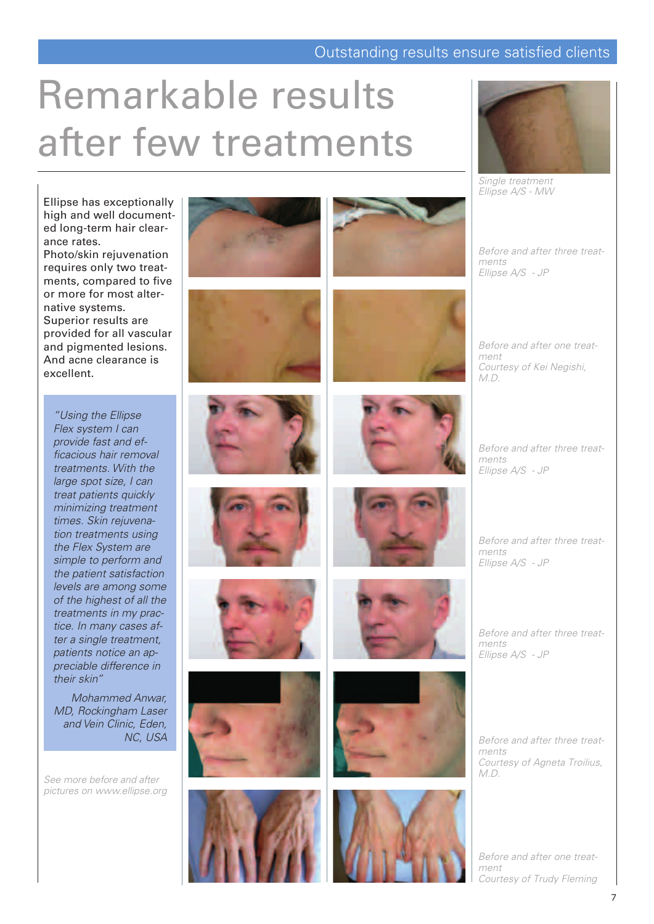### Outstanding results ensure satisfied clients

### Remarkable results after few treatments



*Single treatment Ellipse A/S - MW*

*Before and after three treatments Ellipse A/S - JP*

*Before and after one treatment Courtesy of Kei Negishi, M.D.*

*Before and after three treat-Ellipse A/S - JP*

*Before and after three treatments*

*Before and after three treatments Ellipse A/S - JP*

*Before and after three treatments Courtesy of Agneta Troilius, M.D.*

*Before and after one treatment Courtesy of Trudy Fleming*

Ellipse has exceptionally high and well documented long-term hair clearance rates.

Photo/skin rejuvenation requires only two treatments, compared to five or more for most alternative systems. Superior results are provided for all vascular and pigmented lesions. And acne clearance is excellent.

*"Using the Ellipse Flex system I can provide fast and efficacious hair removal treatments. With the large spot size, I can treat patients quickly minimizing treatment times. Skin rejuvenation treatments using the Flex System are simple to perform and the patient satisfaction levels are among some of the highest of all the treatments in my practice. In many cases after a single treatment, patients notice an appreciable difference in their skin"*

*Mohammed Anwar, MD, Rockingham Laser and Vein Clinic, Eden, NC, USA*

*See more before and after pictures on www.ellipse.org*



















*ments*

*Ellipse A/S - JP*